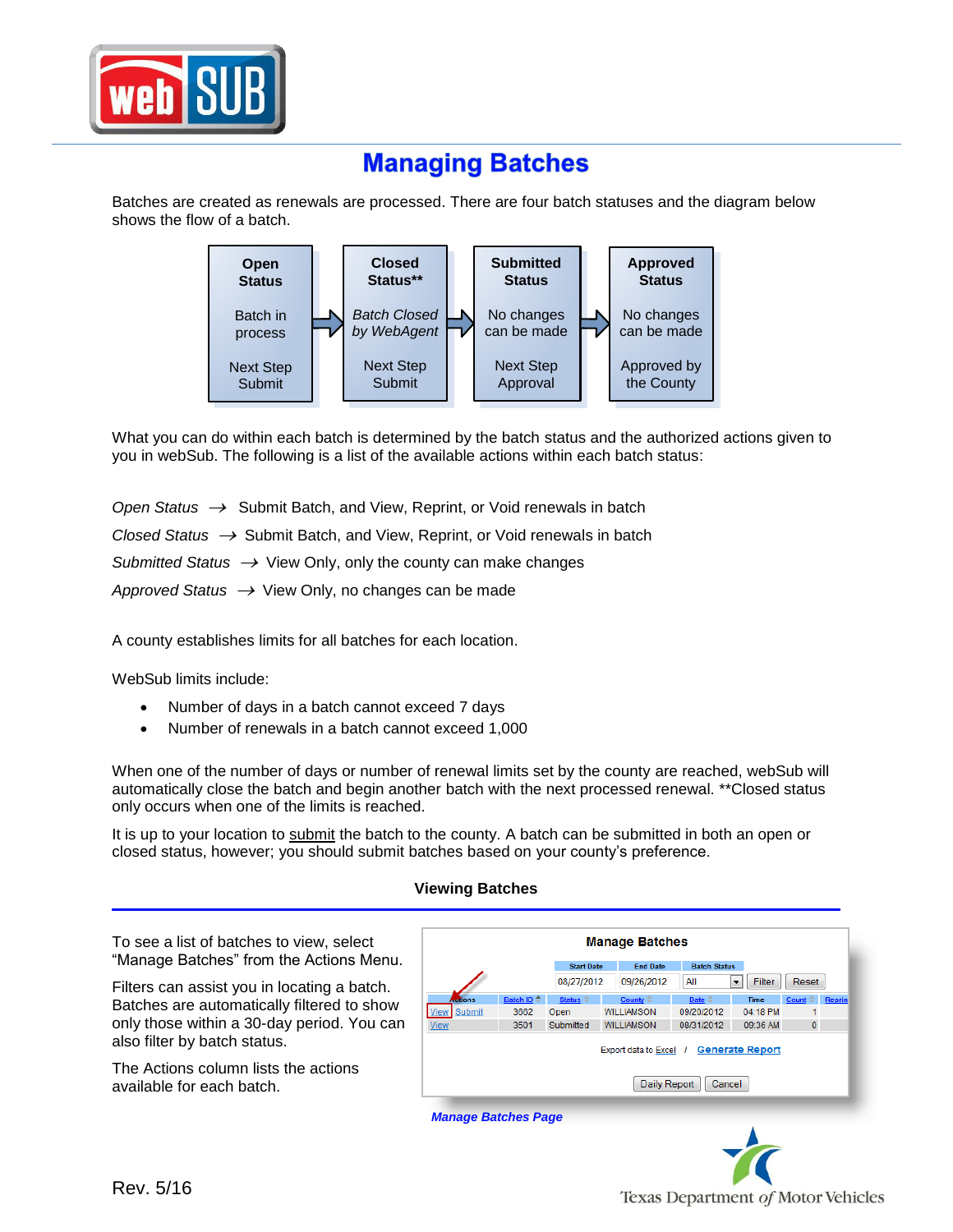

## **Managing Batches**

Batches are created as renewals are processed. There are four batch statuses and the diagram below shows the flow of a batch.



What you can do within each batch is determined by the batch status and the authorized actions given to you in webSub. The following is a list of the available actions within each batch status:

*Open Status →* Submit Batch, and View, Reprint, or Void renewals in batch *Closed Status* → Submit Batch, and View, Reprint, or Void renewals in batch *Submitted Status* → View Only, only the county can make changes Approved Status  $\rightarrow$  View Only, no changes can be made

A county establishes limits for all batches for each location.

WebSub limits include:

- Number of days in a batch cannot exceed 7 days
- Number of renewals in a batch cannot exceed 1,000

When one of the number of days or number of renewal limits set by the county are reached, webSub will automatically close the batch and begin another batch with the next processed renewal. \*\*Closed status only occurs when one of the limits is reached.

It is up to your location to submit the batch to the county. A batch can be submitted in both an open or closed status, however; you should submit batches based on your county's preference.

## **Viewing Batches**

To see a list of batches to view, select "Manage Batches" from the Actions Menu.

Filters can assist you in locating a batch. Batches are automatically filtered to show only those within a 30-day period. You can also filter by batch status.

The Actions column lists the actions available for each batch.



 *Manage Batches Page*

Texas Department of Motor Vehicles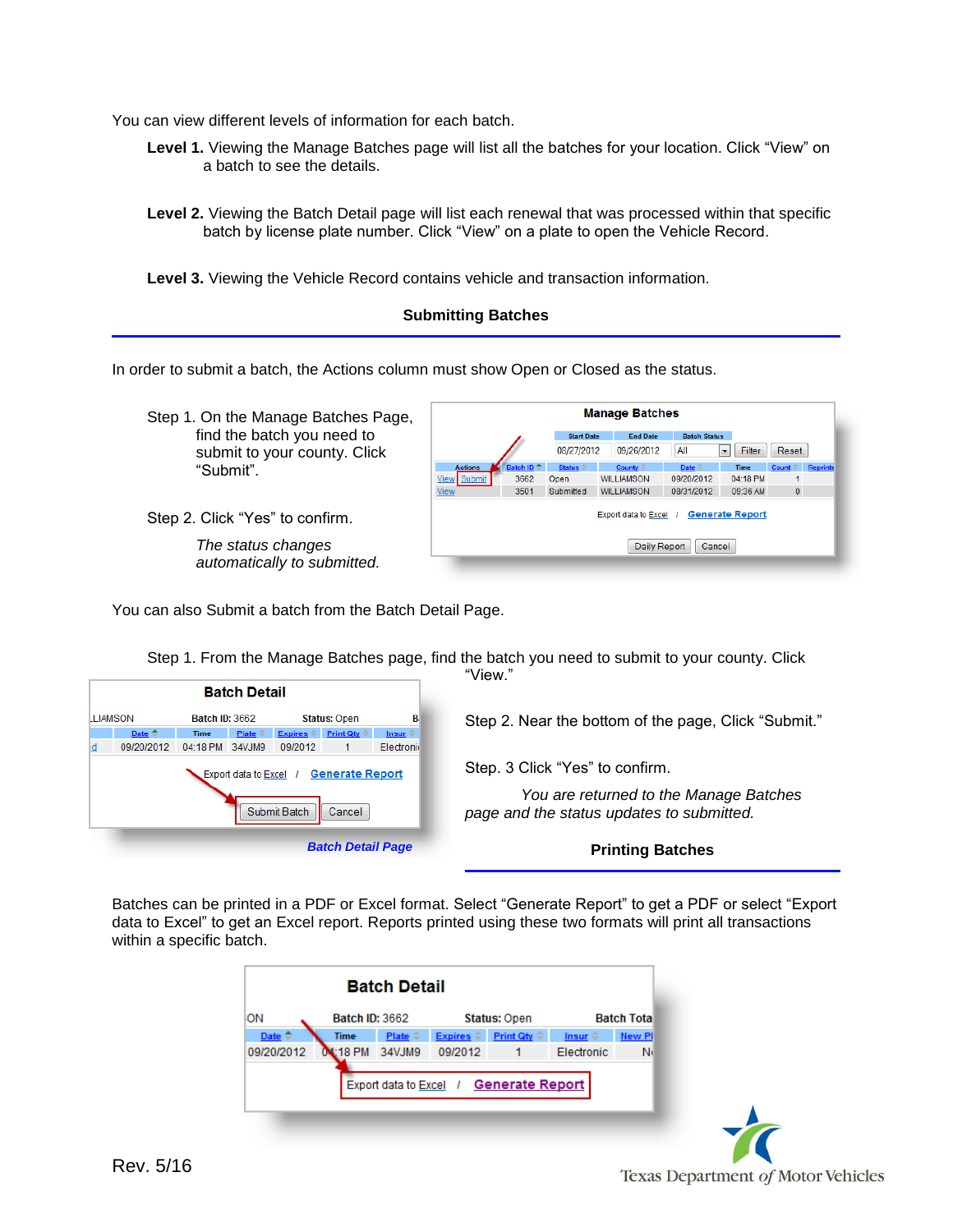You can view different levels of information for each batch.

- **Level 1.** Viewing the Manage Batches page will list all the batches for your location. Click "View" on a batch to see the details.
- **Level 2.** Viewing the Batch Detail page will list each renewal that was processed within that specific batch by license plate number. Click "View" on a plate to open the Vehicle Record.

**Level 3.** Viewing the Vehicle Record contains vehicle and transaction information.

## **Submitting Batches**

In order to submit a batch, the Actions column must show Open or Closed as the status.

Step 1. On the Manage Batches Page, find the batch you need to submit to your county. Click "Submit".

Step 2. Click "Yes" to confirm.

*The status changes automatically to submitted.*



You can also Submit a batch from the Batch Detail Page.

|                                       |                                                                                                      | "View."                                                                             |
|---------------------------------------|------------------------------------------------------------------------------------------------------|-------------------------------------------------------------------------------------|
|                                       | <b>Batch Detail</b>                                                                                  |                                                                                     |
| LLIAMSON                              | <b>Batch ID: 3662</b><br><b>Status: Open</b>                                                         | в<br>Step 2. Near the bottom of the page, Click "Submit."                           |
| Date $\triangleq$<br>09/20/2012<br>۱d | Expires $\hat{\div}$ Print Qty $\hat{\div}$<br>Plate $\hat{=}$<br>Time<br>04:18 PM 34VJM9<br>09/2012 | Insur $\hat{=}$<br>Electronic                                                       |
|                                       | Export data to Excel / Generate Report                                                               | Step. 3 Click "Yes" to confirm.                                                     |
|                                       | Submit Batch<br>Cancel                                                                               | You are returned to the Manage Batches<br>page and the status updates to submitted. |
|                                       | <b>Batch Detail Page</b>                                                                             | <b>Printing Batches</b>                                                             |

Step 1. From the Manage Batches page, find the batch you need to submit to your county. Click

Batches can be printed in a PDF or Excel format. Select "Generate Report" to get a PDF or select "Export data to Excel" to get an Excel report. Reports printed using these two formats will print all transactions within a specific batch.

|                        |                       | <b>Batch Detail</b> |                           |                                        |                     |                   |
|------------------------|-----------------------|---------------------|---------------------------|----------------------------------------|---------------------|-------------------|
| ΙOΝ                    | <b>Batch ID: 3662</b> |                     |                           | <b>Status: Open</b>                    |                     | <b>Batch Tota</b> |
| Date $\Leftrightarrow$ | <b>Time</b>           | Plate $\hat{=}$     | Expires $\Leftrightarrow$ | Print Qty $\Leftrightarrow$            | Insur $\Rightarrow$ | <b>New Pl</b>     |
| 09/20/2012             | L:18 PM               | 34VJM9              | 09/2012                   | 1                                      | Electronic          | N                 |
|                        |                       |                     |                           | Export data to Excel / Generate Report |                     |                   |

Texas Department of Motor Vehicles